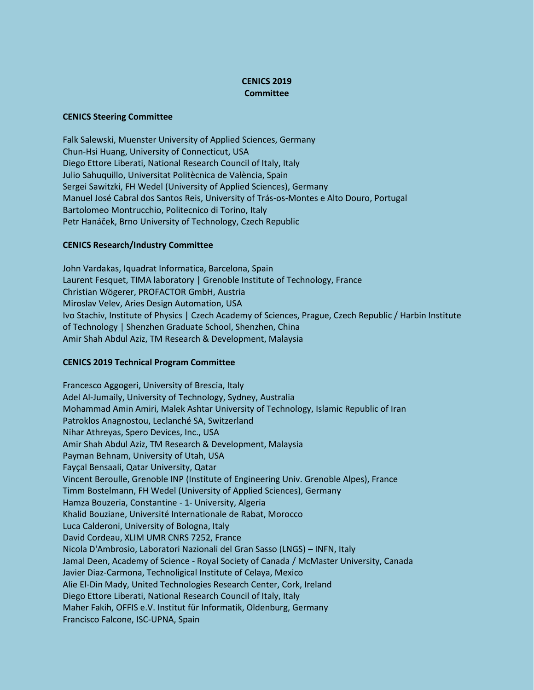## **CENICS 2019 Committee**

## **CENICS Steering Committee**

Falk Salewski, Muenster University of Applied Sciences, Germany Chun-Hsi Huang, University of Connecticut, USA Diego Ettore Liberati, National Research Council of Italy, Italy Julio Sahuquillo, Universitat Politècnica de València, Spain Sergei Sawitzki, FH Wedel (University of Applied Sciences), Germany Manuel José Cabral dos Santos Reis, University of Trás-os-Montes e Alto Douro, Portugal Bartolomeo Montrucchio, Politecnico di Torino, Italy Petr Hanáček, Brno University of Technology, Czech Republic

## **CENICS Research/Industry Committee**

John Vardakas, Iquadrat Informatica, Barcelona, Spain Laurent Fesquet, TIMA laboratory | Grenoble Institute of Technology, France Christian Wögerer, PROFACTOR GmbH, Austria Miroslav Velev, Aries Design Automation, USA Ivo Stachiv, Institute of Physics | Czech Academy of Sciences, Prague, Czech Republic / Harbin Institute of Technology | Shenzhen Graduate School, Shenzhen, China Amir Shah Abdul Aziz, TM Research & Development, Malaysia

## **CENICS 2019 Technical Program Committee**

Francesco Aggogeri, University of Brescia, Italy Adel Al-Jumaily, University of Technology, Sydney, Australia Mohammad Amin Amiri, Malek Ashtar University of Technology, Islamic Republic of Iran Patroklos Anagnostou, Leclanché SA, Switzerland Nihar Athreyas, Spero Devices, Inc., USA Amir Shah Abdul Aziz, TM Research & Development, Malaysia Payman Behnam, University of Utah, USA Fayçal Bensaali, Qatar University, Qatar Vincent Beroulle, Grenoble INP (Institute of Engineering Univ. Grenoble Alpes), France Timm Bostelmann, FH Wedel (University of Applied Sciences), Germany Hamza Bouzeria, Constantine - 1- University, Algeria Khalid Bouziane, Université Internationale de Rabat, Morocco Luca Calderoni, University of Bologna, Italy David Cordeau, XLIM UMR CNRS 7252, France Nicola D'Ambrosio, Laboratori Nazionali del Gran Sasso (LNGS) – INFN, Italy Jamal Deen, Academy of Science - Royal Society of Canada / McMaster University, Canada Javier Diaz-Carmona, Technoligical Institute of Celaya, Mexico Alie El-Din Mady, United Technologies Research Center, Cork, Ireland Diego Ettore Liberati, National Research Council of Italy, Italy Maher Fakih, OFFIS e.V. Institut für Informatik, Oldenburg, Germany Francisco Falcone, ISC-UPNA, Spain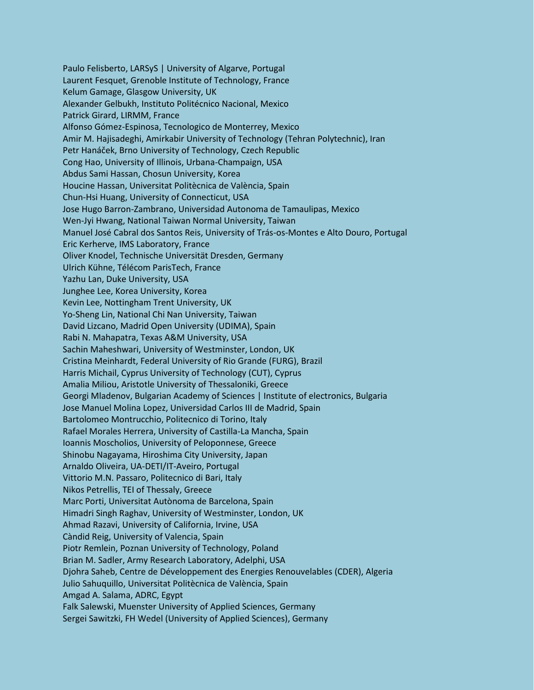Paulo Felisberto, LARSyS | University of Algarve, Portugal Laurent Fesquet, Grenoble Institute of Technology, France Kelum Gamage, Glasgow University, UK Alexander Gelbukh, Instituto Politécnico Nacional, Mexico Patrick Girard, LIRMM, France Alfonso Gómez-Espinosa, Tecnologico de Monterrey, Mexico Amir M. Hajisadeghi, Amirkabir University of Technology (Tehran Polytechnic), Iran Petr Hanáček, Brno University of Technology, Czech Republic Cong Hao, University of Illinois, Urbana-Champaign, USA Abdus Sami Hassan, Chosun University, Korea Houcine Hassan, Universitat Politècnica de València, Spain Chun-Hsi Huang, University of Connecticut, USA Jose Hugo Barron-Zambrano, Universidad Autonoma de Tamaulipas, Mexico Wen-Jyi Hwang, National Taiwan Normal University, Taiwan Manuel José Cabral dos Santos Reis, University of Trás-os-Montes e Alto Douro, Portugal Eric Kerherve, IMS Laboratory, France Oliver Knodel, Technische Universität Dresden, Germany Ulrich Kühne, Télécom ParisTech, France Yazhu Lan, Duke University, USA Junghee Lee, Korea University, Korea Kevin Lee, Nottingham Trent University, UK Yo-Sheng Lin, National Chi Nan University, Taiwan David Lizcano, Madrid Open University (UDIMA), Spain Rabi N. Mahapatra, Texas A&M University, USA Sachin Maheshwari, University of Westminster, London, UK Cristina Meinhardt, Federal University of Rio Grande (FURG), Brazil Harris Michail, Cyprus University of Technology (CUT), Cyprus Amalia Miliou, Aristotle University of Thessaloniki, Greece Georgi Mladenov, Bulgarian Academy of Sciences | Institute of electronics, Bulgaria Jose Manuel Molina Lopez, Universidad Carlos III de Madrid, Spain Bartolomeo Montrucchio, Politecnico di Torino, Italy Rafael Morales Herrera, University of Castilla-La Mancha, Spain Ioannis Moscholios, University of Peloponnese, Greece Shinobu Nagayama, Hiroshima City University, Japan Arnaldo Oliveira, UA-DETI/IT-Aveiro, Portugal Vittorio M.N. Passaro, Politecnico di Bari, Italy Nikos Petrellis, TEI of Thessaly, Greece Marc Porti, Universitat Autònoma de Barcelona, Spain Himadri Singh Raghav, University of Westminster, London, UK Ahmad Razavi, University of California, Irvine, USA Càndid Reig, University of Valencia, Spain Piotr Remlein, Poznan University of Technology, Poland Brian M. Sadler, Army Research Laboratory, Adelphi, USA Djohra Saheb, Centre de Développement des Energies Renouvelables (CDER), Algeria Julio Sahuquillo, Universitat Politècnica de València, Spain Amgad A. Salama, ADRC, Egypt Falk Salewski, Muenster University of Applied Sciences, Germany Sergei Sawitzki, FH Wedel (University of Applied Sciences), Germany